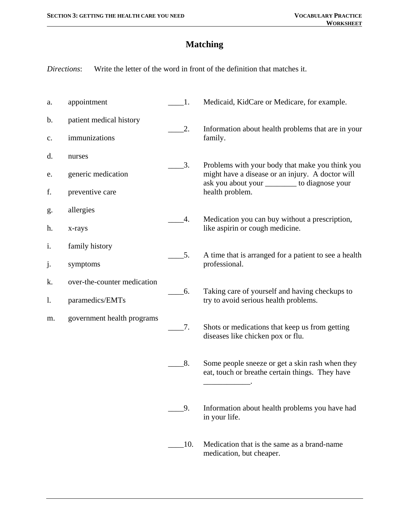## **Matching**

*Directions*: Write the letter of the word in front of the definition that matches it.

| a.            | appointment                 | $\_1$ .                     | Medicaid, KidCare or Medicare, for example.                                                                                                                              |
|---------------|-----------------------------|-----------------------------|--------------------------------------------------------------------------------------------------------------------------------------------------------------------------|
| $\mathbf b$ . | patient medical history     | 2.                          | Information about health problems that are in your<br>family.                                                                                                            |
| c.            | immunizations               |                             |                                                                                                                                                                          |
| d.            | nurses                      | $\overline{\phantom{a}}3$ . | Problems with your body that make you think you<br>might have a disease or an injury. A doctor will<br>ask you about your __________ to diagnose your<br>health problem. |
| e.            | generic medication          |                             |                                                                                                                                                                          |
| f.            | preventive care             |                             |                                                                                                                                                                          |
| g.            | allergies                   | 4.                          | Medication you can buy without a prescription,<br>like aspirin or cough medicine.                                                                                        |
| h.            | x-rays                      |                             |                                                                                                                                                                          |
| i.            | family history              |                             | A time that is arranged for a patient to see a health<br>professional.                                                                                                   |
| j.            | symptoms                    | 5.                          |                                                                                                                                                                          |
| k.            | over-the-counter medication | 6.                          | Taking care of yourself and having checkups to<br>try to avoid serious health problems.                                                                                  |
| 1.            | paramedics/EMTs             |                             |                                                                                                                                                                          |
| m.            | government health programs  |                             | Shots or medications that keep us from getting<br>diseases like chicken pox or flu.                                                                                      |
|               |                             | $\sigma$ .                  |                                                                                                                                                                          |
|               |                             |                             |                                                                                                                                                                          |
|               |                             | 8.                          | Some people sneeze or get a skin rash when they<br>eat, touch or breathe certain things. They have                                                                       |
|               |                             |                             |                                                                                                                                                                          |
|               |                             | 9.                          | Information about health problems you have had<br>in your life.                                                                                                          |
|               |                             |                             |                                                                                                                                                                          |
|               |                             | $\qquad$ 10.                | Medication that is the same as a brand-name<br>medication, but cheaper.                                                                                                  |